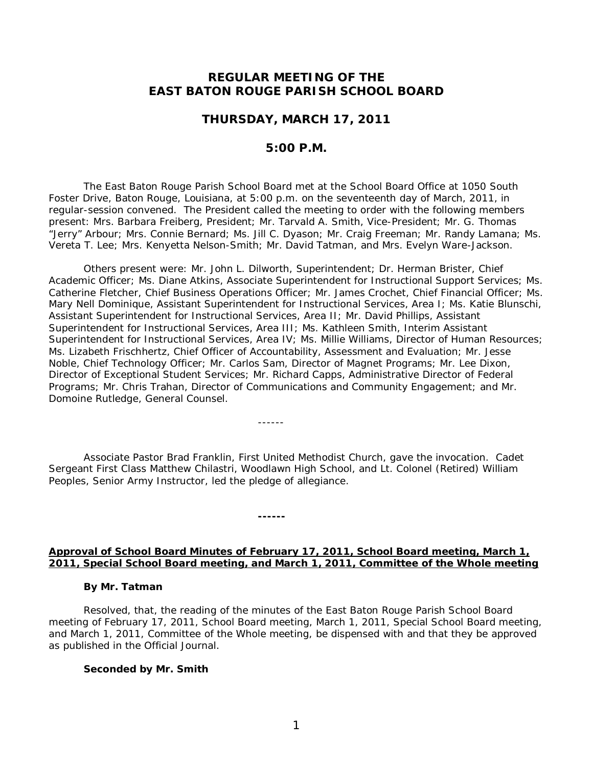# **REGULAR MEETING OF THE EAST BATON ROUGE PARISH SCHOOL BOARD**

## **THURSDAY, MARCH 17, 2011**

# **5:00 P.M.**

The East Baton Rouge Parish School Board met at the School Board Office at 1050 South Foster Drive, Baton Rouge, Louisiana, at 5:00 p.m. on the seventeenth day of March, 2011, in regular-session convened. The President called the meeting to order with the following members present: Mrs. Barbara Freiberg, President; Mr. Tarvald A. Smith, Vice-President; Mr. G. Thomas "Jerry" Arbour; Mrs. Connie Bernard; Ms. Jill C. Dyason; Mr. Craig Freeman; Mr. Randy Lamana; Ms. Vereta T. Lee; Mrs. Kenyetta Nelson-Smith; Mr. David Tatman, and Mrs. Evelyn Ware-Jackson.

Others present were: Mr. John L. Dilworth, Superintendent; Dr. Herman Brister, Chief Academic Officer; Ms. Diane Atkins, Associate Superintendent for Instructional Support Services; Ms. Catherine Fletcher, Chief Business Operations Officer; Mr. James Crochet, Chief Financial Officer; Ms. Mary Nell Dominique, Assistant Superintendent for Instructional Services, Area I; Ms. Katie Blunschi, Assistant Superintendent for Instructional Services, Area II; Mr. David Phillips, Assistant Superintendent for Instructional Services, Area III; Ms. Kathleen Smith, Interim Assistant Superintendent for Instructional Services, Area IV; Ms. Millie Williams, Director of Human Resources; Ms. Lizabeth Frischhertz, Chief Officer of Accountability, Assessment and Evaluation; Mr. Jesse Noble, Chief Technology Officer; Mr. Carlos Sam, Director of Magnet Programs; Mr. Lee Dixon, Director of Exceptional Student Services; Mr. Richard Capps, Administrative Director of Federal Programs; Mr. Chris Trahan, Director of Communications and Community Engagement; and Mr. Domoine Rutledge, General Counsel.

Associate Pastor Brad Franklin, First United Methodist Church, gave the invocation. Cadet Sergeant First Class Matthew Chilastri, Woodlawn High School, and Lt. Colonel (Retired) William Peoples, Senior Army Instructor, led the pledge of allegiance.

------

**------**

## **Approval of School Board Minutes of February 17, 2011, School Board meeting, March 1, 2011, Special School Board meeting, and March 1, 2011, Committee of the Whole meeting**

#### **By Mr. Tatman**

Resolved, that, the reading of the minutes of the East Baton Rouge Parish School Board meeting of February 17, 2011, School Board meeting, March 1, 2011, Special School Board meeting, and March 1, 2011, Committee of the Whole meeting, be dispensed with and that they be approved as published in the Official Journal.

#### **Seconded by Mr. Smith**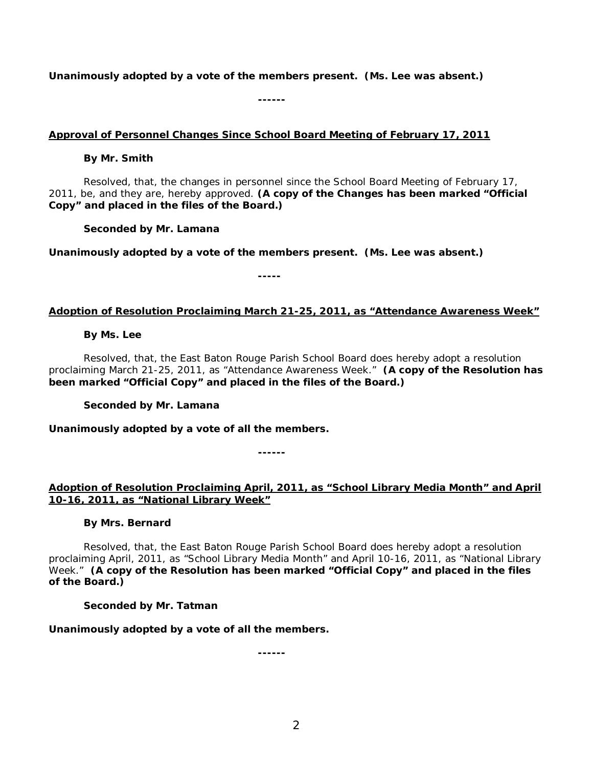**Unanimously adopted by a vote of the members present. (Ms. Lee was absent.)**

**------**

## **Approval of Personnel Changes Since School Board Meeting of February 17, 2011**

## **By Mr. Smith**

Resolved, that, the changes in personnel since the School Board Meeting of February 17, 2011, be, and they are, hereby approved. **(A copy of the Changes has been marked "Official Copy" and placed in the files of the Board.)**

**Seconded by Mr. Lamana**

**Unanimously adopted by a vote of the members present. (Ms. Lee was absent.)**

**-----**

## **Adoption of Resolution Proclaiming March 21-25, 2011, as "Attendance Awareness Week"**

## **By Ms. Lee**

Resolved, that, the East Baton Rouge Parish School Board does hereby adopt a resolution proclaiming March 21-25, 2011, as "Attendance Awareness Week." **(A copy of the Resolution has been marked "Official Copy" and placed in the files of the Board.)**

# **Seconded by Mr. Lamana**

**Unanimously adopted by a vote of all the members.**

**------**

# **Adoption of Resolution Proclaiming April, 2011, as "School Library Media Month" and April 10-16, 2011, as "National Library Week"**

# **By Mrs. Bernard**

Resolved, that, the East Baton Rouge Parish School Board does hereby adopt a resolution proclaiming April, 2011, as "School Library Media Month" and April 10-16, 2011, as "National Library Week." **(A copy of the Resolution has been marked "Official Copy" and placed in the files of the Board.)**

## **Seconded by Mr. Tatman**

**Unanimously adopted by a vote of all the members.**

**------**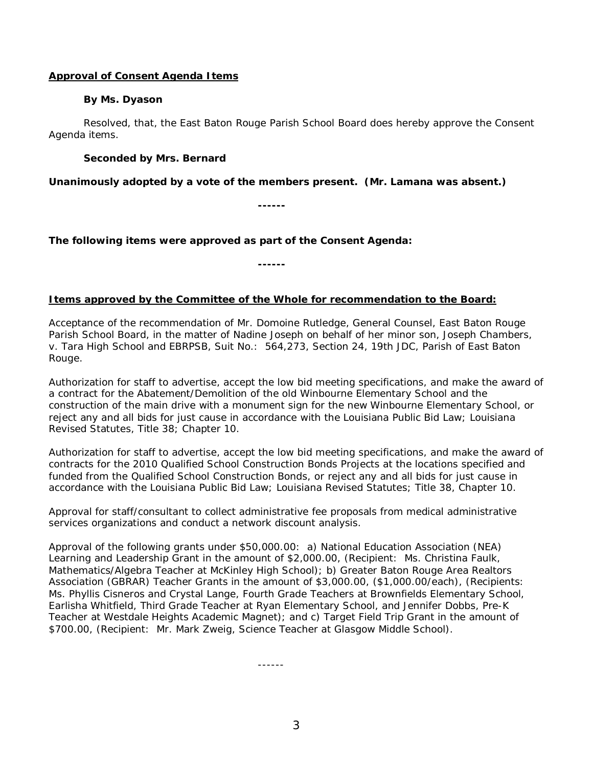## **Approval of Consent Agenda Items**

### **By Ms. Dyason**

Resolved, that, the East Baton Rouge Parish School Board does hereby approve the Consent Agenda items.

## **Seconded by Mrs. Bernard**

**Unanimously adopted by a vote of the members present. (Mr. Lamana was absent.)**

**------**

*The following items were approved as part of the Consent Agenda:*

**------**

## **Items approved by the Committee of the Whole for recommendation to the Board:**

Acceptance of the recommendation of Mr. Domoine Rutledge, General Counsel, East Baton Rouge Parish School Board, in the matter of Nadine Joseph on behalf of her minor son, Joseph Chambers, v. Tara High School and EBRPSB, Suit No.: 564,273, Section 24, 19th JDC, Parish of East Baton Rouge.

Authorization for staff to advertise, accept the low bid meeting specifications, and make the award of a contract for the Abatement/Demolition of the old Winbourne Elementary School and the construction of the main drive with a monument sign for the new Winbourne Elementary School, or reject any and all bids for just cause in accordance with the Louisiana Public Bid Law; Louisiana Revised Statutes, Title 38; Chapter 10.

Authorization for staff to advertise, accept the low bid meeting specifications, and make the award of contracts for the 2010 Qualified School Construction Bonds Projects at the locations specified and funded from the Qualified School Construction Bonds, or reject any and all bids for just cause in accordance with the Louisiana Public Bid Law; Louisiana Revised Statutes; Title 38, Chapter 10.

Approval for staff/consultant to collect administrative fee proposals from medical administrative services organizations and conduct a network discount analysis.

Approval of the following grants under \$50,000.00: a) National Education Association (NEA) Learning and Leadership Grant in the amount of \$2,000.00, (Recipient: Ms. Christina Faulk, Mathematics/Algebra Teacher at McKinley High School); b) Greater Baton Rouge Area Realtors Association (GBRAR) Teacher Grants in the amount of \$3,000.00, (\$1,000.00/each), (Recipients: Ms. Phyllis Cisneros and Crystal Lange, Fourth Grade Teachers at Brownfields Elementary School, Earlisha Whitfield, Third Grade Teacher at Ryan Elementary School, and Jennifer Dobbs, Pre-K Teacher at Westdale Heights Academic Magnet); and c) Target Field Trip Grant in the amount of \$700.00, (Recipient: Mr. Mark Zweig, Science Teacher at Glasgow Middle School).

------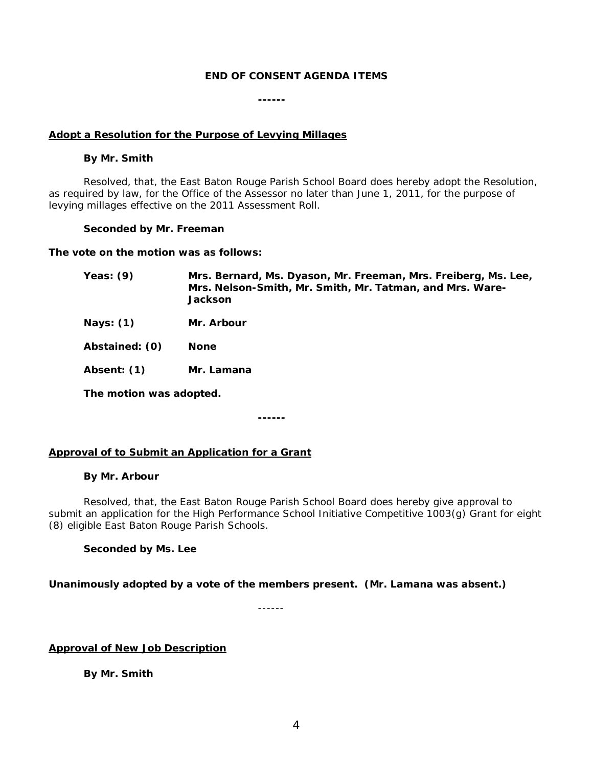### *END OF CONSENT AGENDA ITEMS*

**------**

#### **Adopt a Resolution for the Purpose of Levying Millages**

#### **By Mr. Smith**

Resolved, that, the East Baton Rouge Parish School Board does hereby adopt the Resolution, as required by law, for the Office of the Assessor no later than June 1, 2011, for the purpose of levying millages effective on the 2011 Assessment Roll.

#### **Seconded by Mr. Freeman**

**The vote on the motion was as follows:**

- **Yeas: (9) Mrs. Bernard, Ms. Dyason, Mr. Freeman, Mrs. Freiberg, Ms. Lee, Mrs. Nelson-Smith, Mr. Smith, Mr. Tatman, and Mrs. Ware-Jackson**
- **Nays: (1) Mr. Arbour**

**Abstained: (0) None**

**Absent: (1) Mr. Lamana**

**The motion was adopted.**

**------**

## **Approval of to Submit an Application for a Grant**

#### **By Mr. Arbour**

Resolved, that, the East Baton Rouge Parish School Board does hereby give approval to submit an application for the High Performance School Initiative Competitive 1003(g) Grant for eight (8) eligible East Baton Rouge Parish Schools.

**Seconded by Ms. Lee**

#### **Unanimously adopted by a vote of the members present. (Mr. Lamana was absent.)**

------

**Approval of New Job Description**

**By Mr. Smith**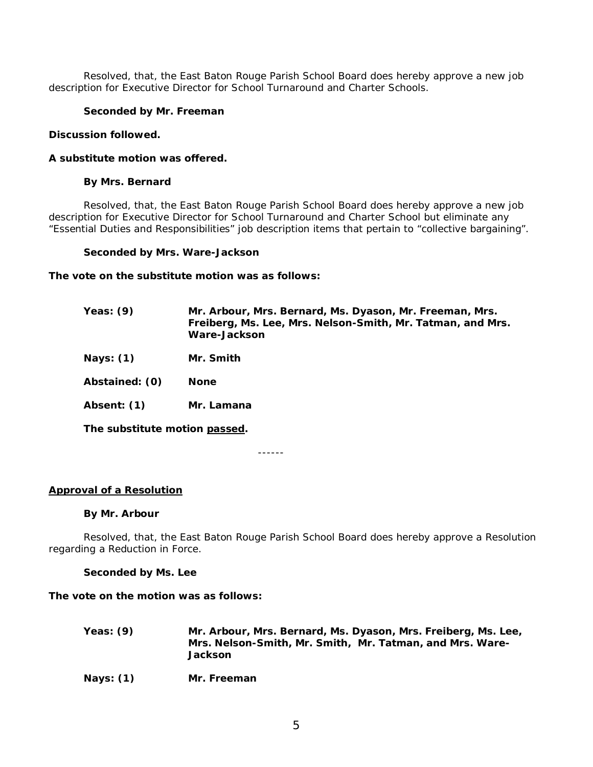Resolved, that, the East Baton Rouge Parish School Board does hereby approve a new job description for Executive Director for School Turnaround and Charter Schools.

## **Seconded by Mr. Freeman**

#### **Discussion followed.**

#### **A substitute motion was offered.**

### **By Mrs. Bernard**

Resolved, that, the East Baton Rouge Parish School Board does hereby approve a new job description for Executive Director for School Turnaround and Charter School but eliminate any "Essential Duties and Responsibilities" job description items that pertain to "collective bargaining".

#### **Seconded by Mrs. Ware-Jackson**

#### **The vote on the substitute motion was as follows:**

| Yeas: (9)      | Mr. Arbour, Mrs. Bernard, Ms. Dyason, Mr. Freeman, Mrs.<br>Freiberg, Ms. Lee, Mrs. Nelson-Smith, Mr. Tatman, and Mrs.<br>Ware-Jackson |
|----------------|---------------------------------------------------------------------------------------------------------------------------------------|
| Nays: (1)      | Mr. Smith                                                                                                                             |
| Abstained: (0) | <b>None</b>                                                                                                                           |
| Absent: (1)    | Mr. Lamana                                                                                                                            |
|                |                                                                                                                                       |

**The substitute motion passed.**

------

## **Approval of a Resolution**

#### **By Mr. Arbour**

Resolved, that, the East Baton Rouge Parish School Board does hereby approve a Resolution regarding a Reduction in Force.

#### **Seconded by Ms. Lee**

### **The vote on the motion was as follows:**

- **Yeas: (9) Mr. Arbour, Mrs. Bernard, Ms. Dyason, Mrs. Freiberg, Ms. Lee, Mrs. Nelson-Smith, Mr. Smith, Mr. Tatman, and Mrs. Ware-Jackson**
- **Nays: (1) Mr. Freeman**